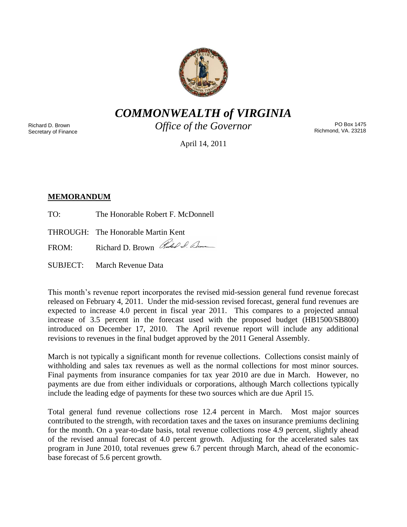

*COMMONWEALTH of VIRGINIA*

Richard D. Brown Secretary of Finance *Office of the Governor*

PO Box 1475 Richmond, VA. 23218

April 14, 2011

# **MEMORANDUM**

TO: The Honorable Robert F. McDonnell

THROUGH: The Honorable Martin Kent

FROM: Richard D. Brown Rubel Sum

SUBJECT: March Revenue Data

This month's revenue report incorporates the revised mid-session general fund revenue forecast released on February 4, 2011. Under the mid-session revised forecast, general fund revenues are expected to increase 4.0 percent in fiscal year 2011. This compares to a projected annual increase of 3.5 percent in the forecast used with the proposed budget (HB1500/SB800) introduced on December 17, 2010. The April revenue report will include any additional revisions to revenues in the final budget approved by the 2011 General Assembly.

March is not typically a significant month for revenue collections. Collections consist mainly of withholding and sales tax revenues as well as the normal collections for most minor sources. Final payments from insurance companies for tax year 2010 are due in March. However, no payments are due from either individuals or corporations, although March collections typically include the leading edge of payments for these two sources which are due April 15.

Total general fund revenue collections rose 12.4 percent in March. Most major sources contributed to the strength, with recordation taxes and the taxes on insurance premiums declining for the month. On a year-to-date basis, total revenue collections rose 4.9 percent, slightly ahead of the revised annual forecast of 4.0 percent growth. Adjusting for the accelerated sales tax program in June 2010, total revenues grew 6.7 percent through March, ahead of the economicbase forecast of 5.6 percent growth.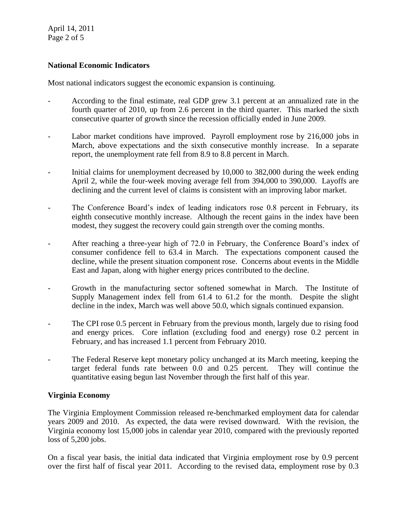April 14, 2011 Page 2 of 5

## **National Economic Indicators**

Most national indicators suggest the economic expansion is continuing.

- According to the final estimate, real GDP grew 3.1 percent at an annualized rate in the fourth quarter of 2010, up from 2.6 percent in the third quarter. This marked the sixth consecutive quarter of growth since the recession officially ended in June 2009.
- Labor market conditions have improved. Payroll employment rose by 216,000 jobs in March, above expectations and the sixth consecutive monthly increase. In a separate report, the unemployment rate fell from 8.9 to 8.8 percent in March.
- Initial claims for unemployment decreased by 10,000 to 382,000 during the week ending April 2, while the four-week moving average fell from 394,000 to 390,000. Layoffs are declining and the current level of claims is consistent with an improving labor market.
- The Conference Board's index of leading indicators rose 0.8 percent in February, its eighth consecutive monthly increase. Although the recent gains in the index have been modest, they suggest the recovery could gain strength over the coming months.
- After reaching a three-year high of 72.0 in February, the Conference Board's index of consumer confidence fell to 63.4 in March. The expectations component caused the decline, while the present situation component rose. Concerns about events in the Middle East and Japan, along with higher energy prices contributed to the decline.
- Growth in the manufacturing sector softened somewhat in March. The Institute of Supply Management index fell from 61.4 to 61.2 for the month. Despite the slight decline in the index, March was well above 50.0, which signals continued expansion.
- The CPI rose 0.5 percent in February from the previous month, largely due to rising food and energy prices. Core inflation (excluding food and energy) rose 0.2 percent in February, and has increased 1.1 percent from February 2010.
- The Federal Reserve kept monetary policy unchanged at its March meeting, keeping the target federal funds rate between 0.0 and 0.25 percent. They will continue the quantitative easing begun last November through the first half of this year.

## **Virginia Economy**

The Virginia Employment Commission released re-benchmarked employment data for calendar years 2009 and 2010. As expected, the data were revised downward. With the revision, the Virginia economy lost 15,000 jobs in calendar year 2010, compared with the previously reported loss of 5,200 jobs.

On a fiscal year basis, the initial data indicated that Virginia employment rose by 0.9 percent over the first half of fiscal year 2011. According to the revised data, employment rose by 0.3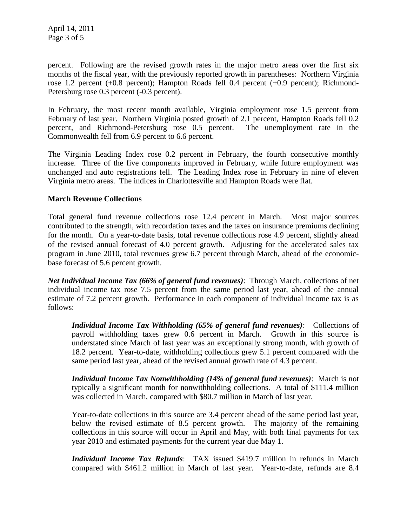April 14, 2011 Page 3 of 5

percent. Following are the revised growth rates in the major metro areas over the first six months of the fiscal year, with the previously reported growth in parentheses: Northern Virginia rose 1.2 percent (+0.8 percent); Hampton Roads fell 0.4 percent (+0.9 percent); Richmond-Petersburg rose 0.3 percent (-0.3 percent).

In February, the most recent month available, Virginia employment rose 1.5 percent from February of last year. Northern Virginia posted growth of 2.1 percent, Hampton Roads fell 0.2 percent, and Richmond-Petersburg rose 0.5 percent. The unemployment rate in the Commonwealth fell from 6.9 percent to 6.6 percent.

The Virginia Leading Index rose 0.2 percent in February, the fourth consecutive monthly increase. Three of the five components improved in February, while future employment was unchanged and auto registrations fell. The Leading Index rose in February in nine of eleven Virginia metro areas. The indices in Charlottesville and Hampton Roads were flat.

#### **March Revenue Collections**

Total general fund revenue collections rose 12.4 percent in March. Most major sources contributed to the strength, with recordation taxes and the taxes on insurance premiums declining for the month. On a year-to-date basis, total revenue collections rose 4.9 percent, slightly ahead of the revised annual forecast of 4.0 percent growth. Adjusting for the accelerated sales tax program in June 2010, total revenues grew 6.7 percent through March, ahead of the economicbase forecast of 5.6 percent growth.

*Net Individual Income Tax (66% of general fund revenues)*: Through March, collections of net individual income tax rose 7.5 percent from the same period last year, ahead of the annual estimate of 7.2 percent growth. Performance in each component of individual income tax is as follows:

*Individual Income Tax Withholding (65% of general fund revenues)*: Collections of payroll withholding taxes grew 0.6 percent in March. Growth in this source is understated since March of last year was an exceptionally strong month, with growth of 18.2 percent. Year-to-date, withholding collections grew 5.1 percent compared with the same period last year, ahead of the revised annual growth rate of 4.3 percent.

*Individual Income Tax Nonwithholding (14% of general fund revenues)*: March is not typically a significant month for nonwithholding collections. A total of \$111.4 million was collected in March, compared with \$80.7 million in March of last year.

Year-to-date collections in this source are 3.4 percent ahead of the same period last year, below the revised estimate of 8.5 percent growth. The majority of the remaining collections in this source will occur in April and May, with both final payments for tax year 2010 and estimated payments for the current year due May 1.

*Individual Income Tax Refunds*: TAX issued \$419.7 million in refunds in March compared with \$461.2 million in March of last year. Year-to-date, refunds are 8.4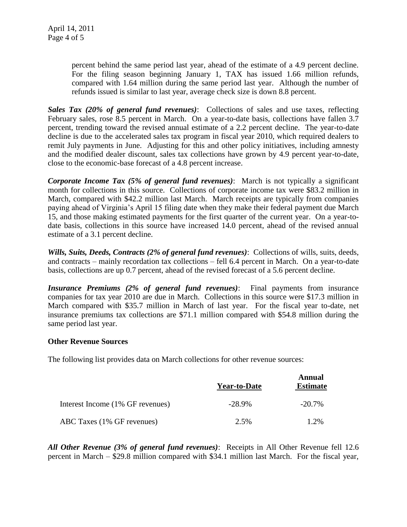percent behind the same period last year, ahead of the estimate of a 4.9 percent decline. For the filing season beginning January 1, TAX has issued 1.66 million refunds, compared with 1.64 million during the same period last year. Although the number of refunds issued is similar to last year, average check size is down 8.8 percent.

*Sales Tax (20% of general fund revenues)*: Collections of sales and use taxes, reflecting February sales, rose 8.5 percent in March. On a year-to-date basis, collections have fallen 3.7 percent, trending toward the revised annual estimate of a 2.2 percent decline. The year-to-date decline is due to the accelerated sales tax program in fiscal year 2010, which required dealers to remit July payments in June. Adjusting for this and other policy initiatives, including amnesty and the modified dealer discount, sales tax collections have grown by 4.9 percent year-to-date, close to the economic-base forecast of a 4.8 percent increase.

*Corporate Income Tax (5% of general fund revenues)*: March is not typically a significant month for collections in this source. Collections of corporate income tax were \$83.2 million in March, compared with \$42.2 million last March. March receipts are typically from companies paying ahead of Virginia's April 15 filing date when they make their federal payment due March 15, and those making estimated payments for the first quarter of the current year. On a year-todate basis, collections in this source have increased 14.0 percent, ahead of the revised annual estimate of a 3.1 percent decline.

*Wills, Suits, Deeds, Contracts (2% of general fund revenues)*: Collections of wills, suits, deeds, and contracts – mainly recordation tax collections – fell 6.4 percent in March. On a year-to-date basis, collections are up 0.7 percent, ahead of the revised forecast of a 5.6 percent decline.

*Insurance Premiums (2% of general fund revenues)*: Final payments from insurance companies for tax year 2010 are due in March. Collections in this source were \$17.3 million in March compared with \$35.7 million in March of last year. For the fiscal year to-date, net insurance premiums tax collections are \$71.1 million compared with \$54.8 million during the same period last year.

#### **Other Revenue Sources**

The following list provides data on March collections for other revenue sources:

|                                  | <b>Year-to-Date</b> | Annual<br><b>Estimate</b> |
|----------------------------------|---------------------|---------------------------|
| Interest Income (1% GF revenues) | $-28.9\%$           | $-20.7\%$                 |
| ABC Taxes (1% GF revenues)       | 2.5%                | 1.2%                      |

*All Other Revenue (3% of general fund revenues)*: Receipts in All Other Revenue fell 12.6 percent in March – \$29.8 million compared with \$34.1 million last March. For the fiscal year,